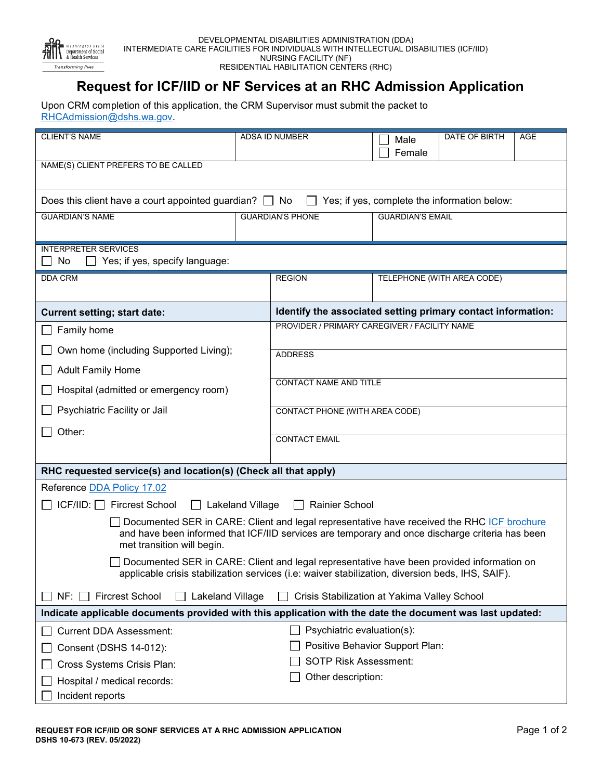

## **Request for ICF/IID or NF Services at an RHC Admission Application**

Upon CRM completion of this application, the CRM Supervisor must submit the packet to [RHCAdmission@dshs.wa.gov.](mailto:RHCAdmission@dshs.wa.gov) 

| <b>CLIENT'S NAME</b>                                                                                                                                                                                                        | <b>ADSA ID NUMBER</b> |                                                              | Male                            | <b>DATE OF BIRTH</b>       | <b>AGE</b> |                                                                 |
|-----------------------------------------------------------------------------------------------------------------------------------------------------------------------------------------------------------------------------|-----------------------|--------------------------------------------------------------|---------------------------------|----------------------------|------------|-----------------------------------------------------------------|
|                                                                                                                                                                                                                             |                       |                                                              | Female                          |                            |            |                                                                 |
| NAME(S) CLIENT PREFERS TO BE CALLED                                                                                                                                                                                         |                       |                                                              |                                 |                            |            |                                                                 |
|                                                                                                                                                                                                                             |                       |                                                              |                                 |                            |            |                                                                 |
| Does this client have a court appointed guardian? $\Box$ No $\Box$<br>Yes; if yes, complete the information below:                                                                                                          |                       |                                                              |                                 |                            |            |                                                                 |
| <b>GUARDIAN'S NAME</b>                                                                                                                                                                                                      |                       | <b>GUARDIAN'S PHONE</b>                                      | <b>GUARDIAN'S EMAIL</b>         |                            |            |                                                                 |
|                                                                                                                                                                                                                             |                       |                                                              |                                 |                            |            |                                                                 |
| <b>INTERPRETER SERVICES</b>                                                                                                                                                                                                 |                       |                                                              |                                 |                            |            |                                                                 |
| No<br>Yes; if yes, specify language:<br>$\mathsf{L}$                                                                                                                                                                        |                       |                                                              |                                 |                            |            |                                                                 |
| <b>DDA CRM</b>                                                                                                                                                                                                              |                       | <b>REGION</b>                                                |                                 | TELEPHONE (WITH AREA CODE) |            |                                                                 |
| <b>Current setting; start date:</b>                                                                                                                                                                                         |                       | Identify the associated setting primary contact information: |                                 |                            |            |                                                                 |
| Family home                                                                                                                                                                                                                 |                       | PROVIDER / PRIMARY CAREGIVER / FACILITY NAME                 |                                 |                            |            |                                                                 |
|                                                                                                                                                                                                                             |                       |                                                              |                                 |                            |            |                                                                 |
| Own home (including Supported Living);                                                                                                                                                                                      |                       | <b>ADDRESS</b>                                               |                                 |                            |            |                                                                 |
| <b>Adult Family Home</b>                                                                                                                                                                                                    |                       | <b>CONTACT NAME AND TITLE</b>                                |                                 |                            |            |                                                                 |
| Hospital (admitted or emergency room)                                                                                                                                                                                       |                       |                                                              |                                 |                            |            |                                                                 |
| Psychiatric Facility or Jail                                                                                                                                                                                                |                       | CONTACT PHONE (WITH AREA CODE)                               |                                 |                            |            |                                                                 |
| Other:                                                                                                                                                                                                                      |                       | <b>CONTACT EMAIL</b>                                         |                                 |                            |            |                                                                 |
|                                                                                                                                                                                                                             |                       |                                                              |                                 |                            |            | RHC requested service(s) and location(s) (Check all that apply) |
| Reference DDA Policy 17.02                                                                                                                                                                                                  |                       |                                                              |                                 |                            |            |                                                                 |
| $ICF/IID: \Box$ Fircrest School<br>□ Lakeland Village<br>□ Rainier School                                                                                                                                                   |                       |                                                              |                                 |                            |            |                                                                 |
| Documented SER in CARE: Client and legal representative have received the RHC ICF brochure<br>and have been informed that ICF/IID services are temporary and once discharge criteria has been<br>met transition will begin. |                       |                                                              |                                 |                            |            |                                                                 |
| Documented SER in CARE: Client and legal representative have been provided information on<br>applicable crisis stabilization services (i.e: waiver stabilization, diversion beds, IHS, SAIF).                               |                       |                                                              |                                 |                            |            |                                                                 |
| <b>Fircrest School</b><br>NF:<br>Lakeland Village<br>Crisis Stabilization at Yakima Valley School                                                                                                                           |                       |                                                              |                                 |                            |            |                                                                 |
| Indicate applicable documents provided with this application with the date the document was last updated:                                                                                                                   |                       |                                                              |                                 |                            |            |                                                                 |
| <b>Current DDA Assessment:</b>                                                                                                                                                                                              |                       | Psychiatric evaluation(s):                                   |                                 |                            |            |                                                                 |
| Consent (DSHS 14-012):                                                                                                                                                                                                      |                       |                                                              | Positive Behavior Support Plan: |                            |            |                                                                 |
| Cross Systems Crisis Plan:                                                                                                                                                                                                  |                       | <b>SOTP Risk Assessment:</b>                                 |                                 |                            |            |                                                                 |
| Hospital / medical records:                                                                                                                                                                                                 |                       | Other description:                                           |                                 |                            |            |                                                                 |
| Incident reports                                                                                                                                                                                                            |                       |                                                              |                                 |                            |            |                                                                 |